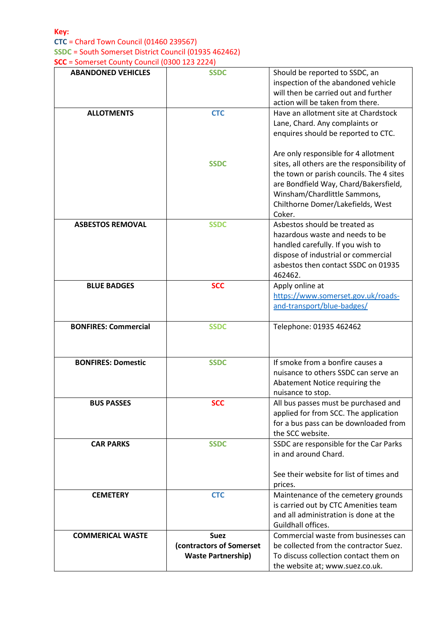## **Key: CTC** = Chard Town Council (01460 239567) **SSDC** = South Somerset District Council (01935 462462)

**SCC** = Somerset County Council (0300 123 2224)

| <b>ABANDONED VEHICLES</b>   | <b>SSDC</b>               | Should be reported to SSDC, an              |
|-----------------------------|---------------------------|---------------------------------------------|
|                             |                           | inspection of the abandoned vehicle         |
|                             |                           | will then be carried out and further        |
|                             |                           | action will be taken from there.            |
| <b>ALLOTMENTS</b>           | <b>CTC</b>                | Have an allotment site at Chardstock        |
|                             |                           | Lane, Chard. Any complaints or              |
|                             |                           | enquires should be reported to CTC.         |
|                             |                           |                                             |
|                             |                           | Are only responsible for 4 allotment        |
|                             | <b>SSDC</b>               | sites, all others are the responsibility of |
|                             |                           | the town or parish councils. The 4 sites    |
|                             |                           | are Bondfield Way, Chard/Bakersfield,       |
|                             |                           | Winsham/Chardlittle Sammons,                |
|                             |                           | Chilthorne Domer/Lakefields, West           |
|                             |                           | Coker.                                      |
| <b>ASBESTOS REMOVAL</b>     | <b>SSDC</b>               | Asbestos should be treated as               |
|                             |                           | hazardous waste and needs to be             |
|                             |                           | handled carefully. If you wish to           |
|                             |                           | dispose of industrial or commercial         |
|                             |                           | asbestos then contact SSDC on 01935         |
|                             |                           | 462462.                                     |
| <b>BLUE BADGES</b>          | <b>SCC</b>                | Apply online at                             |
|                             |                           | https://www.somerset.gov.uk/roads-          |
|                             |                           | and-transport/blue-badges/                  |
| <b>BONFIRES: Commercial</b> | <b>SSDC</b>               | Telephone: 01935 462462                     |
|                             |                           |                                             |
|                             |                           |                                             |
| <b>BONFIRES: Domestic</b>   | <b>SSDC</b>               | If smoke from a bonfire causes a            |
|                             |                           | nuisance to others SSDC can serve an        |
|                             |                           | Abatement Notice requiring the              |
|                             |                           | nuisance to stop.                           |
| <b>BUS PASSES</b>           | <b>SCC</b>                | All bus passes must be purchased and        |
|                             |                           | applied for from SCC. The application       |
|                             |                           | for a bus pass can be downloaded from       |
|                             |                           | the SCC website.                            |
| <b>CAR PARKS</b>            | <b>SSDC</b>               | SSDC are responsible for the Car Parks      |
|                             |                           | in and around Chard.                        |
|                             |                           |                                             |
|                             |                           | See their website for list of times and     |
|                             |                           | prices.                                     |
| <b>CEMETERY</b>             | <b>CTC</b>                | Maintenance of the cemetery grounds         |
|                             |                           | is carried out by CTC Amenities team        |
|                             |                           | and all administration is done at the       |
|                             |                           | Guildhall offices.                          |
| <b>COMMERICAL WASTE</b>     | <b>Suez</b>               | Commercial waste from businesses can        |
|                             |                           |                                             |
|                             | (contractors of Somerset  | be collected from the contractor Suez.      |
|                             | <b>Waste Partnership)</b> | To discuss collection contact them on       |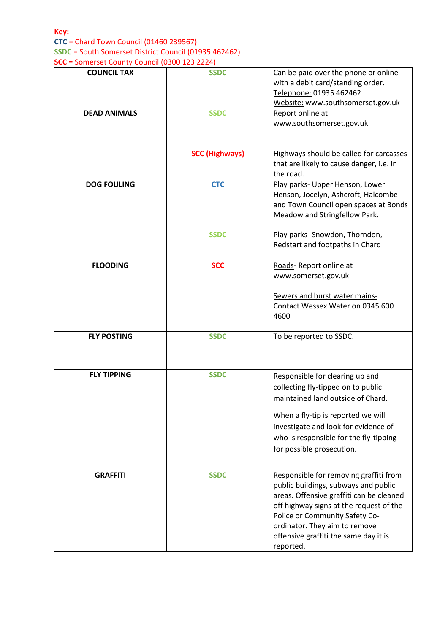## **CTC** = Chard Town Council (01460 239567) **SSDC** = South Somerset District Council (01935 462462) **SCC** = Somerset County Council (0300 123 2224)

| <b>COUNCIL TAX</b>  | <b>SSDC</b>           | Can be paid over the phone or online<br>with a debit card/standing order.<br>Telephone: 01935 462462<br>Website: www.southsomerset.gov.uk                                                                                                                                                      |
|---------------------|-----------------------|------------------------------------------------------------------------------------------------------------------------------------------------------------------------------------------------------------------------------------------------------------------------------------------------|
| <b>DEAD ANIMALS</b> | <b>SSDC</b>           | Report online at<br>www.southsomerset.gov.uk                                                                                                                                                                                                                                                   |
|                     | <b>SCC (Highways)</b> | Highways should be called for carcasses<br>that are likely to cause danger, i.e. in<br>the road.                                                                                                                                                                                               |
| <b>DOG FOULING</b>  | <b>CTC</b>            | Play parks- Upper Henson, Lower<br>Henson, Jocelyn, Ashcroft, Halcombe<br>and Town Council open spaces at Bonds<br>Meadow and Stringfellow Park.                                                                                                                                               |
|                     | <b>SSDC</b>           | Play parks- Snowdon, Thorndon,<br>Redstart and footpaths in Chard                                                                                                                                                                                                                              |
| <b>FLOODING</b>     | <b>SCC</b>            | Roads- Report online at<br>www.somerset.gov.uk<br>Sewers and burst water mains-<br>Contact Wessex Water on 0345 600<br>4600                                                                                                                                                                    |
| <b>FLY POSTING</b>  | <b>SSDC</b>           | To be reported to SSDC.                                                                                                                                                                                                                                                                        |
| <b>FLY TIPPING</b>  | <b>SSDC</b>           | Responsible for clearing up and<br>collecting fly-tipped on to public<br>maintained land outside of Chard.<br>When a fly-tip is reported we will<br>investigate and look for evidence of<br>who is responsible for the fly-tipping<br>for possible prosecution.                                |
| <b>GRAFFITI</b>     | <b>SSDC</b>           | Responsible for removing graffiti from<br>public buildings, subways and public<br>areas. Offensive graffiti can be cleaned<br>off highway signs at the request of the<br>Police or Community Safety Co-<br>ordinator. They aim to remove<br>offensive graffiti the same day it is<br>reported. |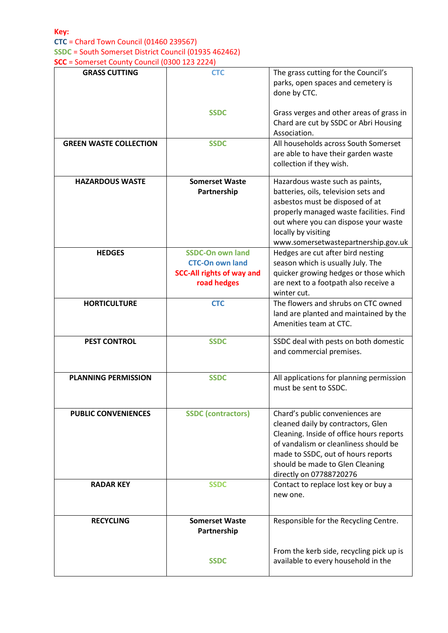| <b>GRASS CUTTING</b>          | <b>CTC</b>                                                                                           | The grass cutting for the Council's<br>parks, open spaces and cemetery is<br>done by CTC.                                                                                                                                                                      |
|-------------------------------|------------------------------------------------------------------------------------------------------|----------------------------------------------------------------------------------------------------------------------------------------------------------------------------------------------------------------------------------------------------------------|
|                               | <b>SSDC</b>                                                                                          | Grass verges and other areas of grass in<br>Chard are cut by SSDC or Abri Housing<br>Association.                                                                                                                                                              |
| <b>GREEN WASTE COLLECTION</b> | <b>SSDC</b>                                                                                          | All households across South Somerset<br>are able to have their garden waste<br>collection if they wish.                                                                                                                                                        |
| <b>HAZARDOUS WASTE</b>        | <b>Somerset Waste</b><br>Partnership                                                                 | Hazardous waste such as paints,<br>batteries, oils, television sets and<br>asbestos must be disposed of at<br>properly managed waste facilities. Find<br>out where you can dispose your waste<br>locally by visiting<br>www.somersetwastepartnership.gov.uk    |
| <b>HEDGES</b>                 | <b>SSDC-On own land</b><br><b>CTC-On own land</b><br><b>SCC-All rights of way and</b><br>road hedges | Hedges are cut after bird nesting<br>season which is usually July. The<br>quicker growing hedges or those which<br>are next to a footpath also receive a<br>winter cut.                                                                                        |
| <b>HORTICULTURE</b>           | <b>CTC</b>                                                                                           | The flowers and shrubs on CTC owned<br>land are planted and maintained by the<br>Amenities team at CTC.                                                                                                                                                        |
| <b>PEST CONTROL</b>           | <b>SSDC</b>                                                                                          | SSDC deal with pests on both domestic<br>and commercial premises.                                                                                                                                                                                              |
| <b>PLANNING PERMISSION</b>    | <b>SSDC</b>                                                                                          | All applications for planning permission<br>must be sent to SSDC.                                                                                                                                                                                              |
| <b>PUBLIC CONVENIENCES</b>    | <b>SSDC</b> (contractors)                                                                            | Chard's public conveniences are<br>cleaned daily by contractors, Glen<br>Cleaning. Inside of office hours reports<br>of vandalism or cleanliness should be<br>made to SSDC, out of hours reports<br>should be made to Glen Cleaning<br>directly on 07788720276 |
| <b>RADAR KEY</b>              | <b>SSDC</b>                                                                                          | Contact to replace lost key or buy a<br>new one.                                                                                                                                                                                                               |
| <b>RECYCLING</b>              | <b>Somerset Waste</b><br>Partnership                                                                 | Responsible for the Recycling Centre.                                                                                                                                                                                                                          |
|                               | <b>SSDC</b>                                                                                          | From the kerb side, recycling pick up is<br>available to every household in the                                                                                                                                                                                |